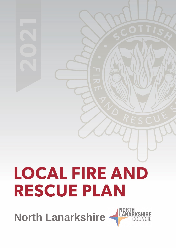# **LOCAL FIRE AND RESCUE PLAN**

**NORTH**<br>LANAR **North Lanarkshire**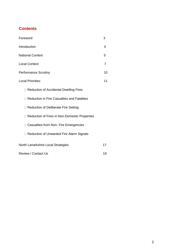## **Contents**

| Foreword                                        | 3  |
|-------------------------------------------------|----|
| Introduction                                    | 4  |
| <b>National Context</b>                         | 5  |
| <b>Local Context</b>                            | 7  |
| <b>Performance Scrutiny</b>                     | 10 |
| <b>Local Priorities:</b>                        | 11 |
| □ Reduction of Accidental Dwelling Fires        |    |
| □ Reduction in Fire Casualties and Fatalities   |    |
| □ Reduction of Deliberate Fire Setting          |    |
| □ Reduction of Fires in Non-Domestic Properties |    |
| □ Casualties from Non- Fire Emergencies         |    |
| <b>Reduction of Unwanted Fire Alarm Signals</b> |    |
| North Lanarkshire Local Strategies              | 17 |
| <b>Review / Contact Us</b>                      | 19 |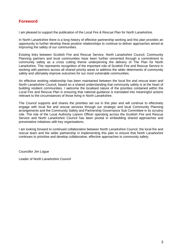## **Foreword**

I am pleased to support the publication of the Local Fire & Rescue Plan for North Lanarkshire.

In North Lanarkshire there is a long history of effective partnership working and this plan provides an opportunity to further develop these positive relationships to continue to deliver approaches aimed at improving the safety of our communities.

Existing links between Scottish Fire and Rescue Service, North Lanarkshire Council, Community Planning partners and local communities have been further cemented through a commitment to community safety as a cross cutting theme underpinning the delivery of The Plan for North Lanarkshire. This represents recognition of the important role of Scottish Fire and Rescue Service in working with partners across all shared priority areas to address the wider determents of community safety and ultimately improve outcomes for our most vulnerable communities.

An effective working relationship has been maintained between the local fire and rescue team and North Lanarkshire Council, based on a shared understanding that community safety is at the heart of building resilient communities. I welcome the localised nature of the priorities contained within the Local Fire and Rescue Plan in ensuring that national guidance is translated into meaningful actions relevant to the circumstances of those living in North Lanarkshire.

The Council supports and shares the priorities set out in this plan and will continue to effectively engage with local fire and rescue services through our strategic and local Community Planning arrangements and the Community Safety and Partnership Governance Sub Committee in its scrutiny role. The role of the Local Authority Liaison Officer operating across the Scottish Fire and Rescue Service and North Lanarkshire Council has been pivotal in embedding shared approaches and preventative initiatives with key organisations.

I am looking forward to continued collaboration between North Lanarkshire Council, the local fire and rescue team and the wider partnership in implementing this plan to ensure that North Lanarkshire continues to prioritise and develop collaborative, effective approaches to community safety.

Councillor Jim Logue

Leader of North Lanarkshire Council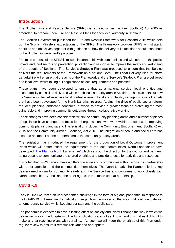## **Introduction**

The Scottish Fire and Rescue Service (SFRS) is required under the Fire (Scotland) Act 2005 as amended, to prepare Local Fire and Rescue Plans for each local authority in Scotland.

The Scottish Government published the Fire and Rescue Framework for Scotland 2016 which sets out the Scottish Ministers' expectations of the SFRS. The Framework provides SFRS with strategic priorities and objectives, together with guidance on how the delivery of its functions should contribute to the Scottish Government's purpose.

The main purpose of the SFRS is to work in partnership with communities and with others in the public, private and third sectors on prevention, protection and response, to improve the safety and well-being of the people of Scotland. The Service's Strategic Plan was produced to ensure that the Service delivers the requirements of the Framework on a national level. The Local Delivery Plan for North Lanarkshire will ensure that the aims of the Framework and the Service's Strategic Plan are delivered at a local level whilst taking full cognisance of local requirements and priorities.

These plans have been developed to ensure that as a national service, local priorities and accountability can still be delivered within each local authority area in Scotland. This plan sets out how the Service will be delivered in a local context ensuring local accountability set against a set of targets that have been developed for the North Lanarkshire area. Against the drive of public sector reform, the local planning landscape continues to evolve to provide a greater focus on protecting the most vulnerable and improving community outcomes through collaborative working.

These changes have been considerable within the community planning arena and a number of pieces of legislation have changed the focus for all organisations who work within the context of improving community planning and safety. The legislation includes the Community Empowerment (Scotland) Act 2015 and the Community Justice (Scotland) Act 2016. The integration of health and social care has also had an impact on the partners across the community safety arena.

The legislation has introduced the requirement for the production of Local Outcome Improvement Plans which will better reflect the requirements of the local communities. North Lanarkshire have developed ['The Plan for North Lanarkshire'](https://www.northlanarkshire.gov.uk/CHttpHandler.ashx?id=22960&p=0) which sets out the direction for the council and partners. Its purpose is to communicate the shared priorities and provide a focus for activities and resources.

It is noted that SFRS cannot make a difference across our communities without working in partnership with other agencies and the communities themselves. The North Lanarkshire Partnership is a key delivery mechanism for community safety and the Service has and continues to work closely with North Lanarkshire Council and the other agencies that make up that partnership.

## **Covid -19**

Early in 2020 we faced an unprecedented challenge in the form of a global pandemic. In response to the COVID-19 outbreak, we dramatically changed how we worked so that we could continue to deliver an emergency service whilst keeping our staff and the public safe.

The pandemic is expected to have a lasting effect on society and this will change the way in which we deliver services in the long-term. The full implications are not yet known and this makes it difficult to make any far-reaching plans with certainty. As such we will keep the priorities of this Plan under regular review to ensure it remains relevant and appropriate.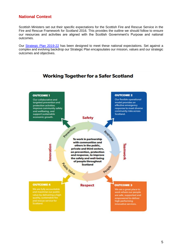## **National Context**

Scottish Ministers set out their specific expectations for the Scottish Fire and Rescue Service in the Fire and Rescue Framework for Scotland 2016. This provides the outline we should follow to ensure our resources and activities are aligned with the Scottish Government's Purpose and national outcomes.

Our [Strategic Plan 2019-22](https://www.firescotland.gov.uk/media/1476819/SFRS_Strategic_Plan_2019_22_V1.0.pdf) has been designed to meet these national expectations. Set against a complex and evolving backdrop our Strategic Plan encapsulates our mission, values and our strategic outcomes and objectives.



## **Working Together for a Safer Scotland**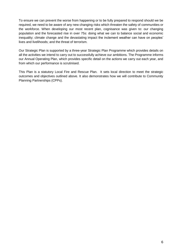To ensure we can prevent the worse from happening or to be fully prepared to respond should we be required, we need to be aware of any new changing risks which threaten the safety of communities or the workforce. When developing our most recent plan, cognisance was given to: our changing population and the forecasted rise in over 75s: doing what we can to balance social and economic inequality; climate change and the devastating impact the inclement weather can have on peoples' lives and livelihoods; and the threat of terrorism.

Our Strategic Plan is supported by a three-year Strategic Plan Programme which provides details on all the activities we intend to carry out to successfully achieve our ambitions. The Programme informs our Annual Operating Plan, which provides specific detail on the actions we carry out each year, and from which our performance is scrutinised.

This Plan is a statutory Local Fire and Rescue Plan. It sets local direction to meet the strategic outcomes and objectives outlined above. It also demonstrates how we will contribute to Community Planning Partnerships (CPPs).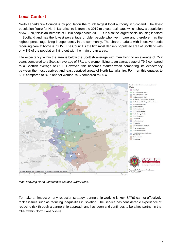## **Local Context**

North Lanarkshire Council is by population the fourth largest local authority in Scotland. The latest population figure for North Lanarkshire is from the 2019 mid-year estimates which show a population of 341,370, this is an increase of 1,190 people since 2018. It is also the largest social housing landlord in Scotland and has the lowest percentage of older people who live in care and therefore, has the highest percentage living independently in the community. The share of adults with intensive needs receiving care at home is 70.1%. The Council is the fifth most densely populated area of Scotland with only 1% of the population living out with the main urban areas.

Life expectancy within the area is below the Scottish average with men living to an average of 75.2 years compared to a Scottish average of 77.1 and women living to an average age of 79.6 compared to a Scottish average of 81.1. However, this becomes starker when comparing life expectancy between the most deprived and least deprived areas of North Lanarkshire. For men this equates to 69.6 compared to 82.7 and for woman 75.6 compared to 85.4.



*Map: showing North Lanarkshire Council Ward Areas.*

To make an impact on any reduction strategy, partnership working is key. SFRS cannot effectively tackle issues such as reducing inequalities in isolation. The Service has considerable experience of reducing risk through a partnership approach and has been and continues to be a key partner in the CPP within North Lanarkshire.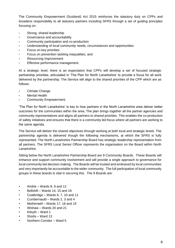The Community Empowerment (Scotland) Act 2015 reinforces the statutory duty on CPPs and broadens responsibility to all statutory partners including SFRS through a set of guiding principles focusing on:

- Strong, shared leadership
- Governance and accountability
- Community participation and co-production
- Understanding of local community needs, circumstances and opportunities
- Focus on key priorities
- Focus on prevention tackling inequalities, and
- Resourcing Improvement
- Effective performance management.

At a strategic level, there is an expectation that CPPs will develop a set of focused strategic partnership priorities, articulated in 'The Plan for North Lanarkshire' to provide a focus for all work delivered by the partnership. The Service will align to the shared priorities of the CPP which are as follows:

- Climate Change
- Mental Health
- Community Empowerment.

'The Plan for North Lanarkshire' is key to how partners in the North Lanarkshire area deliver better outcomes for the communities within the area. The plan brings together all the partner agencies and community representatives and aligns all partners to shared priorities. This enables the co-production of safety initiatives and ensures that there is a community led focus where all partners are working to the same agenda.

The Service will deliver the shared objectives through working at both local and strategic levels. The partnership agenda is delivered though the following mechanisms, at which the SFRS is fully represented. The North Lanarkshire Partnership Board has strategic leadership representation from all partners. The SFRS Local Senior Officer represents the organisation on the Board within North Lanarkshire.

Sitting below the North Lanarkshire Partnership Board are 9 Community Boards. These Boards will enhance and support community involvement and will provide a single approach to governance for local community led decision making. The Boards will be trusted and embraced by local communities and very importantly be accountable to the wider community. The full participation of local community groups in these boards is vital in securing this. The 9 Boards are:

- Airdrie Wards 8, 9 and 12
- Bellshill Wards 14, 15 and 16
- Coatbridge Wards 6, 7, 10 and 11
- Cumbernauld Wards 2, 3 and 4
- Motherwell Wards 17, 18 and 19
- Wishaw Wards 20 and 21
- Kilsyth Ward 1
- Shotts Ward 13
- Northern Corridor Ward 5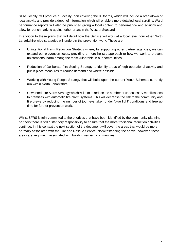SFRS locally, will produce a Locality Plan covering the 9 Boards, which will include a breakdown of local activity and provide a depth of information which will enable a more detailed local scrutiny. Ward performance reports will also be published giving a local context to performance and scrutiny and allow for benchmarking against other areas in the West of Scotland.

In addition to these plans that will detail how the Service will work at a local level, four other North Lanarkshire wide strategies will underpin the prevention work. These are:

- Unintentional Harm Reduction Strategy where, by supporting other partner agencies, we can expand our prevention focus, providing a more holistic approach to how we work to prevent unintentional harm among the most vulnerable in our communities.
- Reduction of Deliberate Fire Setting Strategy to identify areas of high operational activity and put in place measures to reduce demand and where possible.
- Working with Young People Strategy that will build upon the current Youth Schemes currently run within North Lanarkshire.
- Unwanted Fire Alarm Strategy which will aim to reduce the number of unnecessary mobilisations to premises with automatic fire alarm systems. This will decrease the risk to the community and fire crews by reducing the number of journeys taken under 'blue light' conditions and free up time for further prevention work.

Whilst SFRS is fully committed to the priorities that have been identified by the community planning partners there is still a statutory responsibility to ensure that the more traditional reduction activities continue. In this context the next section of the document will cover the areas that would be more normally associated with the Fire and Rescue Service. Notwithstanding the above, however, these areas are very much associated with building resilient communities.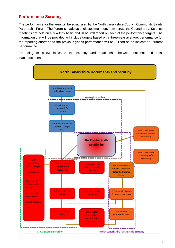## **Performance Scrutiny**

The performance for the area will be scrutinised by the North Lanarkshire Council Community Safety Partnership Forum. The Forum is made up of elected members from across the Council area. Scrutiny meetings are held on a quarterly basis and SFRS will report on each of the performance targets. The information that will be provided will include targets based on a three-year average, performance for the reporting quarter and the previous year's performance will be utilised as an indicator of current performance.

The diagram below indicates the scrutiny and relationship between national and local plans/documents:

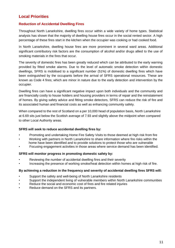## **Local Priorities**

#### **Reduction of Accidental Dwelling Fires**

Throughout North Lanarkshire, dwelling fires occur within a wide variety of home types. Statistical analysis has shown that the majority of dwelling house fires occur in the social rented sector. A high percentage of these fires start in the kitchen when the occupier was cooking or had cooked food.

In North Lanarkshire, dwelling house fires are more prominent in several ward areas. Additional significant contributory risk factors are the consumption of alcohol and/or drugs allied to the use of smoking materials in the fires that occur.

The severity of domestic fires has been greatly reduced which can be attributed to the early warning provided by fitted smoke alarms. Due to the level of automatic smoke detection within domestic dwellings, SFRS is mobilised to a significant number (51%) of domestic dwelling fires which have been extinguished by the occupants before the arrival of SFRS operational resources. These are known as Code 4 fires; which are minor in nature due to the early detection and intervention by the occupier.

Dwelling fires can have a significant negative impact upon both individuals and the community and are financially costly to house holders and housing providers in terms of repair and the reinstatement of homes. By giving safety advice and fitting smoke detectors, SFRS can reduce the risk of fire and its associated human and financial costs as well as enhancing community safety.

When compared to the rest of Scotland on a per 10,000 head of population basis, North Lanarkshire at 6.69 sits just below the Scottish average of 7.93 and slightly above the midpoint when compared to other Local Authority areas.

#### **SFRS will seek to reduce accidental dwelling fires by:**

- Promoting and undertaking Home Fire Safety Visits to those deemed at high risk from fire
- Working with partners in North Lanarkshire to share information where fire risks within the home have been identified and to provide solutions to protect those who are vulnerable
- Focusing engagement activities in those areas where service demand has been identified.

#### **SFRS will monitor progress in promoting domestic safety by:**

- Reviewing the number of accidental dwelling fires and their severity
- Increasing the presence of working smoke/heat detection within homes at high risk of fire.

#### **By achieving a reduction in the frequency and severity of accidental dwelling fires SFRS will:**

- Support the safety and well-being of North Lanarkshire residents
- Support the independent living of vulnerable members within North Lanarkshire communities
- Reduce the social and economic cost of fires and fire related injuries
- Reduce demand on the SFRS and its partners.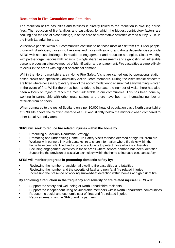#### **Reduction in Fire Casualties and Fatalities**

The reduction of fire casualties and fatalities is directly linked to the reduction in dwelling house fires. The reduction of fire fatalities and casualties, for which the biggest contributory factors are cooking and the use of alcohol/drugs, is at the core of preventative activities carried out by SFRS in the North Lanarkshire area.

Vulnerable people within our communities continue to be those most at risk from fire. Older people, those with disabilities, those who live alone and those with alcohol and drugs dependencies provide SFRS with serious challenges in relation to engagement and reduction strategies. Closer working with partner organisations with regards to single shared assessments and signposting of vulnerable persons proves an effective method of identification and engagement. Fire casualties are more likely to occur in the areas with highest operational demand.

Within the North Lanarkshire area Home Fire Safety Visits are carried out by operational station based crews and specialist Community Action Team members. During the visits smoke detectors are fitted where necessary to every level of the accommodation to ensure that early warning is given in the event of fire. Whilst there has been a drive to increase the number of visits there has also been a focus on trying to reach the most vulnerable in our communities. This has been done by working in partnership with other organisations and there have been an increasing number of referrals from partners.

When compared to the rest of Scotland on a per 10,000 head of population basis North Lanarkshire at 2.39 sits above the Scottish average of 1.88 and slightly below the midpoint when compared to other Local Authority areas.

#### **SFRS will seek to reduce fire related injuries within the home by:**

- Producing a Casualty Reduction Strategy
- Promoting and undertaking Home Fire Safety Visits to those deemed at high risk from fire • Working with partners in North Lanarkshire to share information where fire risks within the
- home have been identified and to provide solutions to protect those who are vulnerable
- Focusing engagement activities in those areas where service demand has been identified
- Supporting the provision of assistive technology within the home to increase occupant safety.

#### **SFRS will monitor progress in promoting domestic safety by:**

- Reviewing the number of accidental dwelling fire casualties and fatalities
- Reviewing the number and the severity of fatal and non-fatal fire related injuries
- Increasing the presence of working smoke/heat detection within homes at high risk of fire.

#### **By achieving a reduction in the frequency and severity of fire related injuries SFRS will:**

- Support the safety and well-being of North Lanarkshire residents
- Support the independent living of vulnerable members within North Lanarkshire communities
- Reduce the social and economic cost of fires and fire related injuries
- Reduce demand on the SFRS and its partners.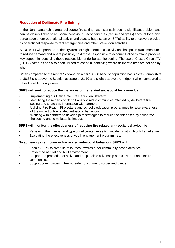### **Reduction of Deliberate Fire Setting**

In the North Lanarkshire area, deliberate fire setting has historically been a significant problem and can be closely linked to antisocial behaviour. Secondary fires (refuse and grass) account for a high percentage of our operational activity and place a huge strain on SFRS ability to effectively provide its operational response to real emergencies and other prevention activities.

SFRS work with partners to identify areas of high operational activity and has put in place measures to reduce demand and where possible, hold those responsible to account. Police Scotland provides key support in identifying those responsible for deliberate fire setting. The use of Closed Circuit TV (CCTV) cameras has also been utilised to assist in identifying where deliberate fires are set and by whom.

When compared to the rest of Scotland on a per 10,000 head of population basis North Lanarkshire at 38.36 sits above the Scottish average of 21.10 and slightly above the midpoint when compared to other Local Authority areas.

#### **SFRS will seek to reduce the instances of fire related anti-social behaviour by:**

- Implementing our Deliberate Fire Reduction Strategy
- Identifying those parts of North Lanarkshire's communities affected by deliberate fire setting and share this information with partners
- Utilising Fire Reach, Fire setters and school's education programmes to raise awareness of the impact of fire related anti-social behaviour
- Working with partners to develop joint strategies to reduce the risk posed by deliberate fire setting and to mitigate its impacts.

#### **SFRS will monitor the effectiveness of reducing fire related anti-social behaviour by:**

- Reviewing the number and type of deliberate fire setting incidents within North Lanarkshire
- Evaluating the effectiveness of youth engagement programmes.

#### **By achieving a reduction in fire related anti-social behaviour SFRS will:**

- Enable SFRS to divert its resources towards other community based activities
- Protect the natural and built environment
- Support the promotion of active and responsible citizenship across North Lanarkshire communities
- Support communities in feeling safe from crime, disorder and danger.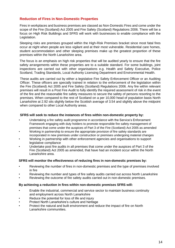#### **Reduction of Fires in Non-Domestic Properties**

Fires in workplaces and business premises are classed as Non-Domestic Fires and come under the scope of the Fire (Scotland) Act 2005 and Fire Safety (Scotland) Regulations 2006. There will be a focus on High Risk Buildings and SFRS will work with businesses to enable compliance with the Legislation.

Sleeping risks are premises grouped within the High-Risk Premises bracket since most fatal fires occur at night when people are less vigilant and at their most vulnerable. Residential care homes, student accommodation and other sleeping premises make up the greatest proportion of these premises within the North Lanarkshire area.

The focus is an emphasis on high risk properties that will be audited yearly to ensure that the fire safety arrangements within these properties are to a suitable standard. For some buildings, joint inspections are carried out with other organisations e.g. Health and Safety Executive, Police Scotland, Trading Standards, Local Authority Licensing Department and Environmental Health.

These audits are carried out by either a legislative Fire Safety Enforcement Officer or an Auditing Officer. These officers are specially trained in relation to the enforcement of the legislation within the Fire (Scotland) Act 2005 and Fire Safety (Scotland) Regulations 2006. Any fire within relevant premises will result in a Post Fire Audit to fully identify the required assessment of risk in the event of the fire and the reasonable fire safety measures to secure the safety of persons resorting to the premises. When compared to the rest of Scotland on a per 10,000 head of population basis North Lanarkshire at 2.92 sits slightly below the Scottish average of 3.54 and slightly above the midpoint when compared to other Local Authority areas.

#### **SFRS will seek to reduce the instances of fires within non-domestic property by:**

- Undertaking a fire safety audit programme in accordance with the Service's Enforcement Framework engaging with duty holders to promote responsible fire safety management of premises that come under the auspices of Part 3 of the Fire (Scotland) Act 2005 as amended
- Working in partnership to ensure the appropriate provision of fire safety standards are
- incorporated in new premises under construction or premises undergoing material changes • Working in partnership with other enforcement agencies and organisations to support
- legislative compliance • Undertake post fire audits in all premises that come under the auspices of Part 3 of the Fire (Scotland) Act 2005 as amended, that have had an incident occur within the North

#### **SFRS will monitor the effectiveness of reducing fires in non-domestic premises by:**

- Reviewing the number of fires in non-domestic premises and the type of premises involved in fire
- Reviewing the number and types of fire safety audits carried out across North Lanarkshire
- Reviewing the outcome of fire safety audits carried out in non-domestic premises.

#### **By achieving a reduction in fires within non-domestic premises SFRS will:**

- Enable the industrial, commercial and service sector to maintain business continuity and employment across North Lanarkshire
- Reduce the potential for loss of life and injury

Lanarkshire area.

- Protect North Lanarkshire's culture and heritage
- Protect the natural and built environment and reduce the impact of fire on North Lanarkshire communities.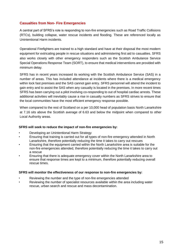#### **Casualties from Non- Fire Emergencies**

A central part of SFRS's role is responding to non-fire emergencies such as Road Traffic Collisions (RTCs), building collapse, water rescue incidents and flooding. These are referenced locally as Unintentional Harm incidents.

Operational Firefighters are trained to a high standard and have at their disposal the most modern equipment for extricating people in rescue situations and administering first aid to casualties. SFRS also works closely with other emergency responders such as the Scottish Ambulance Service Special Operations Response Team (SORT), to ensure that medical interventions are provided with minimum delay.

SFRS has in recent years increased its working with the Scottish Ambulance Service (SAS) in a number of areas. This has included attendance at incidents where there is a medical emergency within lock fast premises and the SAS cannot gain entry. SFRS personnel will attend the incident to gain entry and to assist the SAS when any casualty is located in the premises. In more recent times SFRS has been carrying out a pilot involving co-responding to out of hospital cardiac arrests. These additional activities will inevitably cause a rise in casualty numbers as SFRS strives to ensure that the local communities have the most efficient emergency response possible.

When compared to the rest of Scotland on a per 10,000 head of population basis North Lanarkshire at 7.16 sits above the Scottish average of 6.63 and below the midpoint when compared to other Local Authority areas.

#### **SFRS will seek to reduce the impact of non-fire emergencies by:**

- Developing an Unintentional Harm Strategy
- Ensuring that training is carried out for all types of non-fire emergency attended in North Lanarkshire, therefore potentially reducing the time it takes to carry out rescues
- Ensuring that the equipment carried within the North Lanarkshire area is suitable for the non-fire emergencies attended, therefore potentially reducing the time it takes to carry out a rescue
- Ensuring that there is adequate emergency cover within the North Lanarkshire area to ensure that response times are kept to a minimum, therefore potentially reducing overall rescue times.

#### **SFRS will monitor the effectiveness of our response to non-fire emergencies by:**

- Reviewing the number and the type of non-fire emergencies attended
- Reviewing the number of specialist resources available within the area including water rescue, urban search and rescue and mass decontamination.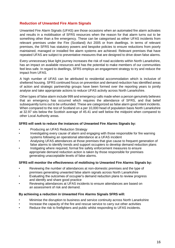#### **Reduction of Unwanted Fire Alarm Signals**

Unwanted Fire Alarm Signals (UFAS) are those occasions when an automated fire alarm activates and results in a mobilisation of SFRS resources when the reason for that alarm turns out to be something other than a fire emergency. These can be categorised as either UFAS incidents from relevant premises under the Fire (Scotland) Act 2005 or from dwellings. In terms of relevant premises, the SFRS has statutory powers and bespoke policies to ensure reductions from poorly maintained, managed or installed fire alarm systems are achieved. Relevant premises that have repeated UFAS are subject to preventative measures that are designed to drive down false alarms.

Every unnecessary blue light journey increases the risk of road accidents within North Lanarkshire, has an impact on available resources and has the potential to make members of our communities feel less safe. In regard to dwellings, SFRS employs an engagement strategy to try and reduce the impact from UFAS.

A high number of UFAS can be attributed to residential accommodation which is inclusive of sheltered housing. SFRS continued focus on prevention and demand reduction has identified areas of action and strategic partnership groups have been formed over the reporting years to jointly analyse and take appropriate actions to reduce UFAS activity across North Lanarkshire.

Other types of false alarm include 999 and emergency calls made when a person genuinely believes that an emergency has occurred which requires the attendance of SFRS, and that belief subsequently turns out to be unfounded. These are categorized as false alarm good intent incidents. When compared to the rest of Scotland on a per 10,000 head of population basis North Lanarkshire at 32.97 sits below the Scottish average of 45.41 and well below the midpoint when compared to other Local Authority areas.

#### **SFRS will seek to reduce the instances of Unwanted Fire Alarms Signals by:**

- Producing an UFAS Reduction Strategy
- Investigating every cause of alarm and engaging with those responsible for fire warning systems following an operational attendance at a UFAS incident
- Analysing UFAS attendances at those premises that give cause to frequent generation of false alarms to identify trends and support occupiers to develop demand reduction plans
- Instigating where required, formal fire safety enforcement measures to ensure appropriate demand reduction action is taken by those responsible for premises generating unacceptable levels of false alarms.

#### **SFRS will monitor the effectiveness of mobilising to Unwanted Fire Alarms Signals by:**

- Reviewing the number of attendances at non-domestic premises and the type of premises generating unwanted false alarm signals across North Lanarkshire
- Evaluating the outcomes of occupier's demand reduction plans to review progress and identify and share good practice
- Reviewing attendances at UFAS incidents to ensure attendances are based on an assessment of risk and demand.

#### **By achieving a reduction in Unwanted Fire Alarms Signals SFRS will:**

- Minimise the disruption to business and service continuity across North Lanarkshire
- Increase the capacity of the fire and rescue service to carry out other activities
- Reduce the risk to firefighters and public whilst responding to UFAS incidents.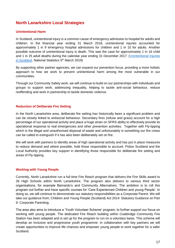## **North Lanarkshire Local Strategies**

#### **Unintentional Harm**

In Scotland, unintentional injury is a common cause of emergency admission to hospital for adults and children. In the financial year ending 31 March 2018, unintentional injuries accounted for approximately 1 in 9 emergency hospital admissions for children and 1 in 10 for adults. Another possible outcome of unintentional injury is death. This was the case for approximately 1 in 16 child and 1 in 25 adult deaths during the calendar year ending 31 December 2017. [\(Unintentional Injuries](https://www.scotland.police.uk/your-community/lanarkshire/)  [in Scotland,](https://www.scotland.police.uk/your-community/lanarkshire/) National Statistics 5<sup>th</sup> March 2019)

By supporting other partner agencies, we can expand our prevention focus, providing a more holistic approach to how we work to prevent unintentional harm among the most vulnerable in our communities.

Through our Community Safety work, we will continue to build on our partnerships with individuals and groups to support work; addressing inequality, helping to tackle anti-social behaviour, reduce reoffending and work in partnership to tackle domestic violence.

#### **Reduction of Deliberate Fire Setting**

In the North Lanarkshire area, deliberate fire setting has historically been a significant problem and can be closely linked to antisocial behaviour. Secondary fires (refuse and grass) account for a high percentage of our operational activity and place a huge strain on SFRS ability to effectively provide its operational response to real emergencies and other prevention activities. Together with Fly-tipping which is the illegal and unauthorised disposal of waste and unfortunately is something our fire crews can be called to extinguish if it has also been deliberately set on fire.

We will work with partners to identify areas of high operational activity and has put in place measures to reduce demand and where possible, hold those responsible to account. Police Scotland and the Local Authority provides key support in identifying those responsible for deliberate fire setting and areas of Fly-tipping.

#### **Working with Young People**

Currently, North Lanarkshire run a full time Fire Reach program that delivers the Fire Skills award to 26 High Schools within North Lanarkshire. The program also delivers to various third sector organisations, for example Barnardo's and Community Alternatives. The ambition is to roll this program out further and have specific courses for 'Care Experienced Children and young People'. In doing so, we will continue to demonstrate our statutory responsibilities as a Corporate Parent. We will take our guidance from; Children and Young People (Scotland) Act 2014: Statutory Guidance on Part 9: Corporate Parenting.

The area also aims to introduce a 'Youth Volunteer Scheme' program, to further support our focus on working with young people. The dedicated Fire Reach building within Coatbridge Community Fire Station has been adapted and is set up for the program to run on a voluntary basis. This scheme will develop an inclusive and progressive youth programme. In collaboration with key partners we will create opportunities to improve life chances and empower young people to work together for a safer Scotland.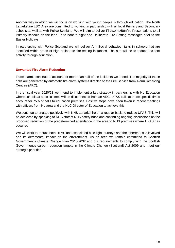Another way in which we will focus on working with young people is through education. The North Lanarkshire LSO Area are committed to working in partnership with all local Primary and Secondary schools as well as with Police Scotland. We will aim to deliver Fireworks/Bonfire Presentations to all Primary schools on the lead up to bonfire night and Deliberate Fire Setting messages prior to the Easter Holidays.

In partnership with Police Scotland we will deliver Anti-Social behaviour talks in schools that are identified within areas of high deliberate fire setting instances. The aim will be to reduce incident activity through education.

#### **Unwanted Fire Alarm Reduction**

False alarms continue to account for more than half of the incidents we attend. The majority of these calls are generated by automatic fire alarm systems directed to the Fire Service from Alarm Receiving Centres (ARC).

In the fiscal year 2020/21 we intend to implement a key strategy in partnership with NL Education where schools at specific times will be disconnected from an ARC. UFAS calls at these specific times account for 75% of calls to education premises. Positive steps have been taken in recent meetings with officers from NL area and the NLC Director of Education to achieve this.

We continue to engage positively with NHS Lanarkshire on a regular basis to reduce UFAS. This will be achieved by speaking to NHS staff at NHS safety hubs and continuing ongoing discussions on the proposed reduction of the predetermined attendance in the area to NHS premises where UFAS has occurred.

We will work to reduce both UFAS and associated blue light journeys and the inherent risks involved and its detrimental impact on the environment. As an area we remain committed to Scottish Government's Climate Change Plan 2018-2032 and our requirements to comply with the Scottish Government's carbon reduction targets in the Climate Change (Scotland) Act 2009 and meet our strategic priorities.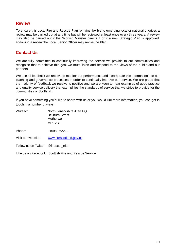## **Review**

To ensure this Local Fire and Rescue Plan remains flexible to emerging local or national priorities a review may be carried out at any time but will be reviewed at least once every three years. A review may also be carried out if the Scottish Minister directs it or if a new Strategic Plan is approved. Following a review the Local Senior Officer may revise the Plan.

## **Contact Us**

We are fully committed to continually improving the service we provide to our communities and recognise that to achieve this goal we must listen and respond to the views of the public and our partners.

We use all feedback we receive to monitor our performance and incorporate this information into our planning and governance processes in order to continually improve our service. We are proud that the majority of feedback we receive is positive and we are keen to hear examples of good practice and quality service delivery that exemplifies the standards of service that we strive to provide for the communities of Scotland.

If you have something you'd like to share with us or you would like more information, you can get in touch in a number of ways:

| Write to:                           | North Lanarkshire Area HQ<br>Dellburn Street<br>Motherwell<br>ML1 2SE |
|-------------------------------------|-----------------------------------------------------------------------|
| Phone:                              | 01698 262222                                                          |
| Visit our website:                  | www.firescotland.gov.uk                                               |
| Follow us on Twitter @firescot nlan |                                                                       |

Like us on Facebook Scottish Fire and Rescue Service